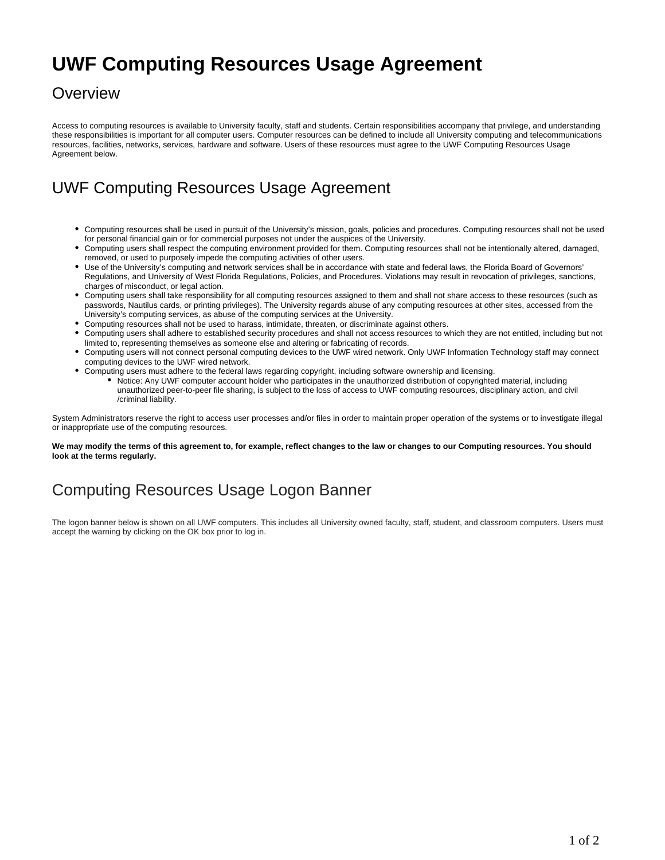## **UWF Computing Resources Usage Agreement**

#### **Overview**

Access to computing resources is available to University faculty, staff and students. Certain responsibilities accompany that privilege, and understanding these responsibilities is important for all computer users. Computer resources can be defined to include all University computing and telecommunications resources, facilities, networks, services, hardware and software. Users of these resources must agree to the UWF Computing Resources Usage Agreement below.

#### UWF Computing Resources Usage Agreement

- Computing resources shall be used in pursuit of the University's mission, goals, policies and procedures. Computing resources shall not be used for personal financial gain or for commercial purposes not under the auspices of the University.
- Computing users shall respect the computing environment provided for them. Computing resources shall not be intentionally altered, damaged, removed, or used to purposely impede the computing activities of other users.
- Use of the University's computing and network services shall be in accordance with state and federal laws, the Florida Board of Governors' Regulations, and University of West Florida Regulations, Policies, and Procedures. Violations may result in revocation of privileges, sanctions, charges of misconduct, or legal action.
- Computing users shall take responsibility for all computing resources assigned to them and shall not share access to these resources (such as passwords, Nautilus cards, or printing privileges). The University regards abuse of any computing resources at other sites, accessed from the University's computing services, as abuse of the computing services at the University.
- Computing resources shall not be used to harass, intimidate, threaten, or discriminate against others.
- Computing users shall adhere to established security procedures and shall not access resources to which they are not entitled, including but not limited to, representing themselves as someone else and altering or fabricating of records.
- Computing users will not connect personal computing devices to the UWF wired network. Only UWF Information Technology staff may connect computing devices to the UWF wired network.
- Computing users must adhere to the federal laws regarding copyright, including software ownership and licensing.
	- Notice: Any UWF computer account holder who participates in the unauthorized distribution of copyrighted material, including unauthorized peer-to-peer file sharing, is subject to the loss of access to UWF computing resources, disciplinary action, and civil /criminal liability.

System Administrators reserve the right to access user processes and/or files in order to maintain proper operation of the systems or to investigate illegal or inappropriate use of the computing resources.

**We may modify the terms of this agreement to, for example, reflect changes to the law or changes to our Computing resources. You should look at the terms regularly.**

### Computing Resources Usage Logon Banner

The logon banner below is shown on all UWF computers. This includes all University owned faculty, staff, student, and classroom computers. Users must accept the warning by clicking on the OK box prior to log in.